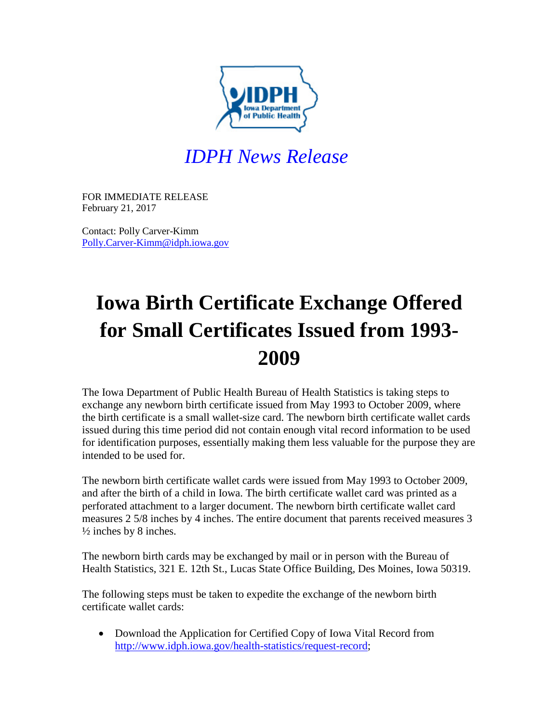

## *IDPH News Release*

FOR IMMEDIATE RELEASE February 21, 2017

Contact: Polly Carver-Kimm [Polly.Carver-Kimm@idph.iowa.gov](mailto:Polly.Carver-Kimm@idph.iowa.gov)

## **Iowa Birth Certificate Exchange Offered for Small Certificates Issued from 1993- 2009**

The Iowa Department of Public Health Bureau of Health Statistics is taking steps to exchange any newborn birth certificate issued from May 1993 to October 2009, where the birth certificate is a small wallet-size card. The newborn birth certificate wallet cards issued during this time period did not contain enough vital record information to be used for identification purposes, essentially making them less valuable for the purpose they are intended to be used for.

The newborn birth certificate wallet cards were issued from May 1993 to October 2009, and after the birth of a child in Iowa. The birth certificate wallet card was printed as a perforated attachment to a larger document. The newborn birth certificate wallet card measures 2 5/8 inches by 4 inches. The entire document that parents received measures 3  $\frac{1}{2}$  inches by 8 inches.

The newborn birth cards may be exchanged by mail or in person with the Bureau of Health Statistics, 321 E. 12th St., Lucas State Office Building, Des Moines, Iowa 50319.

The following steps must be taken to expedite the exchange of the newborn birth certificate wallet cards:

• Download the Application for Certified Copy of Iowa Vital Record from [http://www.idph.iowa.gov/health-statistics/request-record;](http://www.idph.iowa.gov/health-statistics/request-record)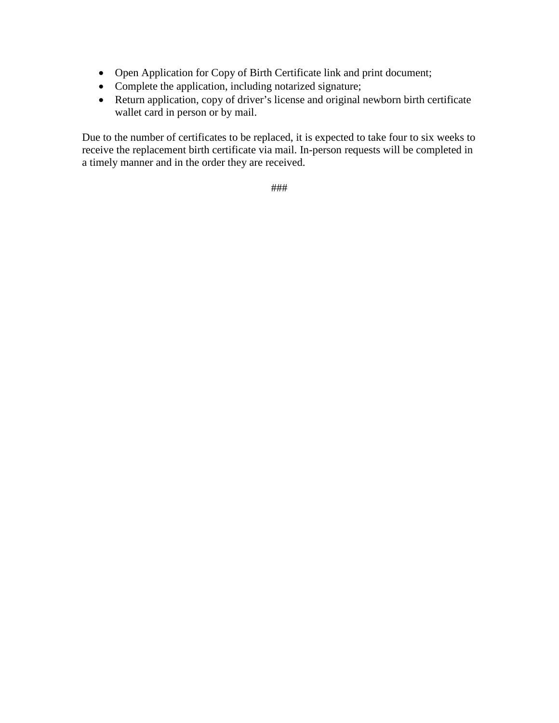- Open Application for Copy of Birth Certificate link and print document;
- Complete the application, including notarized signature;
- Return application, copy of driver's license and original newborn birth certificate wallet card in person or by mail.

Due to the number of certificates to be replaced, it is expected to take four to six weeks to receive the replacement birth certificate via mail. In-person requests will be completed in a timely manner and in the order they are received.

###